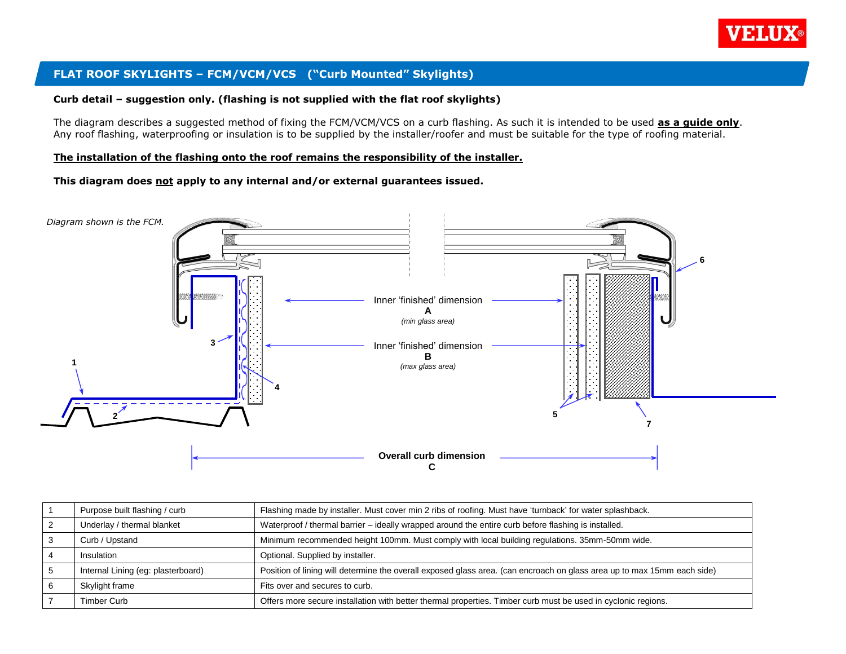

# **FLAT ROOF SKYLIGHTS – FCM/VCM/VCS ("Curb Mounted" Skylights)**

#### **Curb detail – suggestion only. (flashing is not supplied with the flat roof skylights)**

The diagram describes a suggested method of fixing the FCM/VCM/VCS on a curb flashing. As such it is intended to be used **as a guide only**. Any roof flashing, waterproofing or insulation is to be supplied by the installer/roofer and must be suitable for the type of roofing material.

#### **The installation of the flashing onto the roof remains the responsibility of the installer.**

**This diagram does not apply to any internal and/or external guarantees issued.**



| Purpose built flashing / curb      | Flashing made by installer. Must cover min 2 ribs of roofing. Must have 'turnback' for water splashback.                |
|------------------------------------|-------------------------------------------------------------------------------------------------------------------------|
| Underlay / thermal blanket         | Waterproof / thermal barrier - ideally wrapped around the entire curb before flashing is installed.                     |
| Curb / Upstand                     | Minimum recommended height 100mm. Must comply with local building regulations. 35mm-50mm wide.                          |
| <b>Insulation</b>                  | Optional. Supplied by installer.                                                                                        |
| Internal Lining (eg: plasterboard) | Position of lining will determine the overall exposed glass area. (can encroach on glass area up to max 15mm each side) |
| Skylight frame                     | Fits over and secures to curb.                                                                                          |
| <b>Timber Curb</b>                 | Offers more secure installation with better thermal properties. Timber curb must be used in cyclonic regions.           |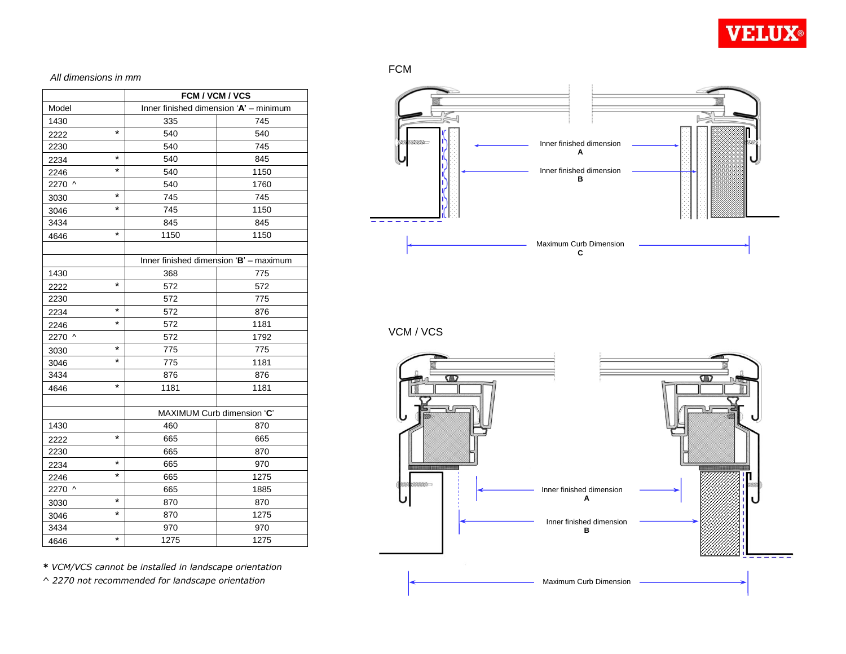

#### *All dimensions in mm*

|        |          | FCM / VCM / VCS                        |      |  |  |
|--------|----------|----------------------------------------|------|--|--|
| Model  |          | Inner finished dimension 'A' - minimum |      |  |  |
| 1430   |          | 335                                    | 745  |  |  |
| 2222   | $\star$  | 540                                    | 540  |  |  |
| 2230   |          | 540                                    | 745  |  |  |
| 2234   | $\star$  | 540                                    | 845  |  |  |
| 2246   | *        | 540                                    | 1150 |  |  |
| 2270 ^ |          | 540                                    | 1760 |  |  |
| 3030   | $\star$  | 745                                    | 745  |  |  |
| 3046   | *        | 745                                    | 1150 |  |  |
| 3434   |          | 845                                    | 845  |  |  |
| 4646   | $\star$  | 1150                                   | 1150 |  |  |
|        |          |                                        |      |  |  |
|        |          | Inner finished dimension 'B' - maximum |      |  |  |
| 1430   |          | 368                                    | 775  |  |  |
| 2222   | $\star$  | 572                                    | 572  |  |  |
| 2230   |          | 572                                    | 775  |  |  |
| 2234   | $\star$  | 572                                    | 876  |  |  |
| 2246   | $\star$  | 572                                    | 1181 |  |  |
| 2270 ^ |          | 572                                    | 1792 |  |  |
| 3030   | $\star$  | 775                                    | 775  |  |  |
| 3046   | $\star$  | 775                                    | 1181 |  |  |
| 3434   |          | 876                                    | 876  |  |  |
| 4646   | $\star$  | 1181                                   | 1181 |  |  |
|        |          |                                        |      |  |  |
|        |          | MAXIMUM Curb dimension 'C'             |      |  |  |
| 1430   |          | 460                                    | 870  |  |  |
| 2222   | $\star$  | 665                                    | 665  |  |  |
| 2230   |          | 665                                    | 870  |  |  |
| 2234   | $^\star$ | 665                                    | 970  |  |  |
| 2246   | $\star$  | 665                                    | 1275 |  |  |
| 2270 ^ |          | 665                                    | 1885 |  |  |
| 3030   | $\star$  | 870                                    | 870  |  |  |
| 3046   | *        | 870                                    | 1275 |  |  |
| 3434   |          | 970                                    | 970  |  |  |
| 4646   | *        | 1275                                   | 1275 |  |  |



VCM / VCS



*\* VCM/VCS cannot be installed in landscape orientation*

*^ 2270 not recommended for landscape orientation*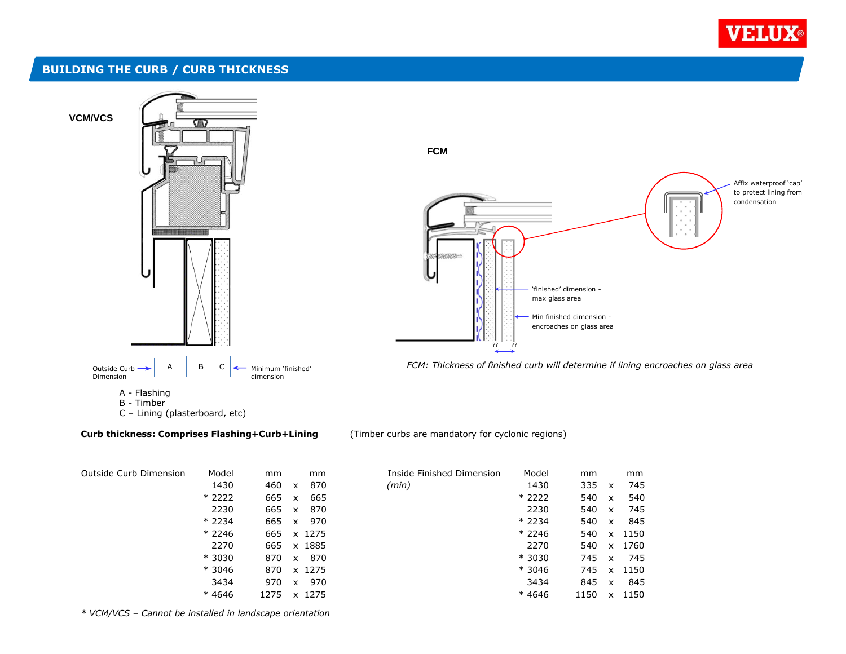

### **BUILDING THE CURB / CURB THICKNESS**



#### **Curb thickness: Comprises Flashing+Curb+Lining** (Timber curbs are mandatory for cyclonic regions)

| Outside Curb Dimension | Model   | mm   | mm                  | Inside Finished Dimension | Model   | mm   |                           | mm   |
|------------------------|---------|------|---------------------|---------------------------|---------|------|---------------------------|------|
|                        | 1430    | 460  | 870<br>X            | (min)                     | 1430    | 335  | $\boldsymbol{\mathsf{x}}$ | 74!  |
|                        | $*2222$ | 665  | 665<br>x            |                           | $*2222$ | 540  | x                         | 540  |
|                        | 2230    | 665  | 870<br>$\times$     |                           | 2230    | 540  | X                         | 74!  |
|                        | $*2234$ | 665  | 970<br>$\mathsf{x}$ |                           | $*2234$ | 540  | X                         | 845  |
|                        | $*2246$ | 665  | x 1275              |                           | $*2246$ | 540  | x                         | 1150 |
|                        | 2270    | 665  | x 1885              |                           | 2270    | 540  | X                         | 1760 |
|                        | $*3030$ | 870  | 870<br>$\mathsf{x}$ |                           | $*3030$ | 745  | $\boldsymbol{\mathsf{x}}$ | 745  |
|                        | $*3046$ | 870  | x 1275              |                           | $*3046$ | 745  | x                         | 1150 |
|                        | 3434    | 970  | 970<br>$\mathsf{x}$ |                           | 3434    | 845  | $\times$                  | 845  |
|                        | $*4646$ | 1275 | x 1275              |                           | $*4646$ | 1150 | x                         | 1150 |
|                        |         |      |                     |                           |         |      |                           |      |

| Model   | mm   | mm               | Inside Finished Dimension | Model   | mm   |              | mm   |
|---------|------|------------------|---------------------------|---------|------|--------------|------|
| 1430    | 460  | 870<br>X         | (min)                     | 1430    | 335  | X            | 745  |
| $*2222$ | 665  | 665<br>x         |                           | $*2222$ | 540  | X            | 540  |
| 2230    | 665  | 870<br>x         |                           | 2230    | 540  | X            | 745  |
| $*2234$ | 665  | 970<br>X         |                           | $*2234$ | 540  | X            | 845  |
| $*2246$ | 665  | x 1275           |                           | $*2246$ | 540  | X            | 1150 |
| 2270    | 665  | 1885<br><b>X</b> |                           | 2270    | 540  | X            | 1760 |
| * 3030  | 870  | 870<br>x         |                           | * 3030  | 745  | $\mathsf{x}$ | 745  |
| * 3046  | 870  | x 1275           |                           | * 3046  | 745  | x            | 1150 |
| 3434    | 970  | 970<br>X         |                           | 3434    | 845  | X            | 845  |
| $*4646$ | 1275 | 1275<br><b>x</b> |                           | $*4646$ | 1150 | X            | 1150 |
|         |      |                  |                           |         |      |              |      |

*\* VCM/VCS – Cannot be installed in landscape orientation*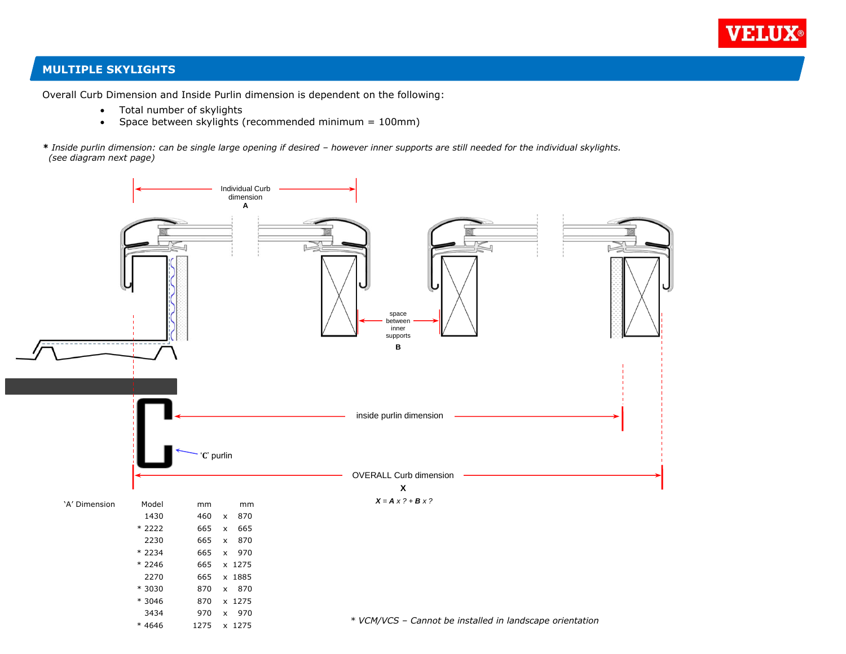

# **MULTIPLE SKYLIGHTS**

Overall Curb Dimension and Inside Purlin dimension is dependent on the following:

- Total number of skylights
- Space between skylights (recommended minimum = 100mm)

*\* Inside purlin dimension: can be single large opening if desired – however inner supports are still needed for the individual skylights. (see diagram next page)*

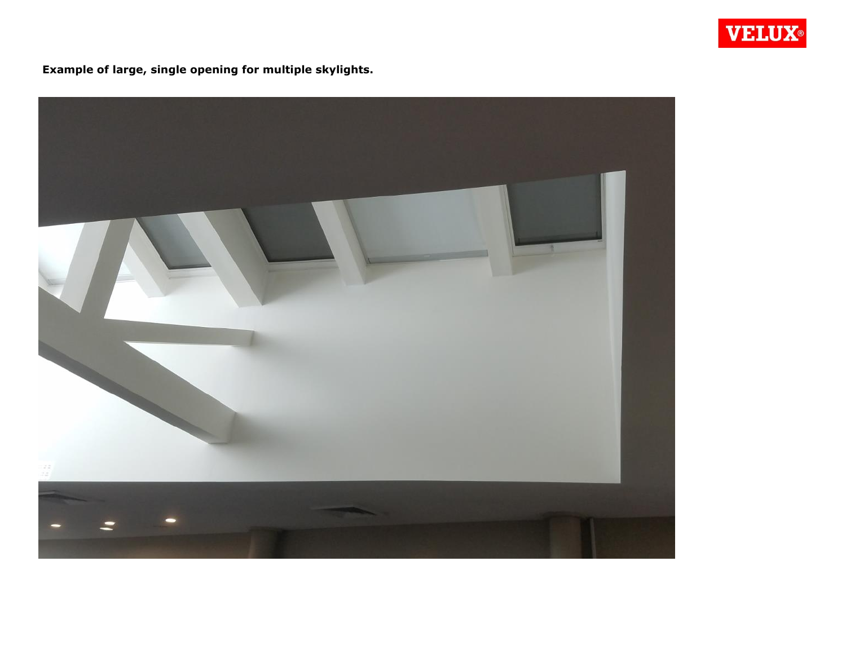

**Example of large, single opening for multiple skylights.**

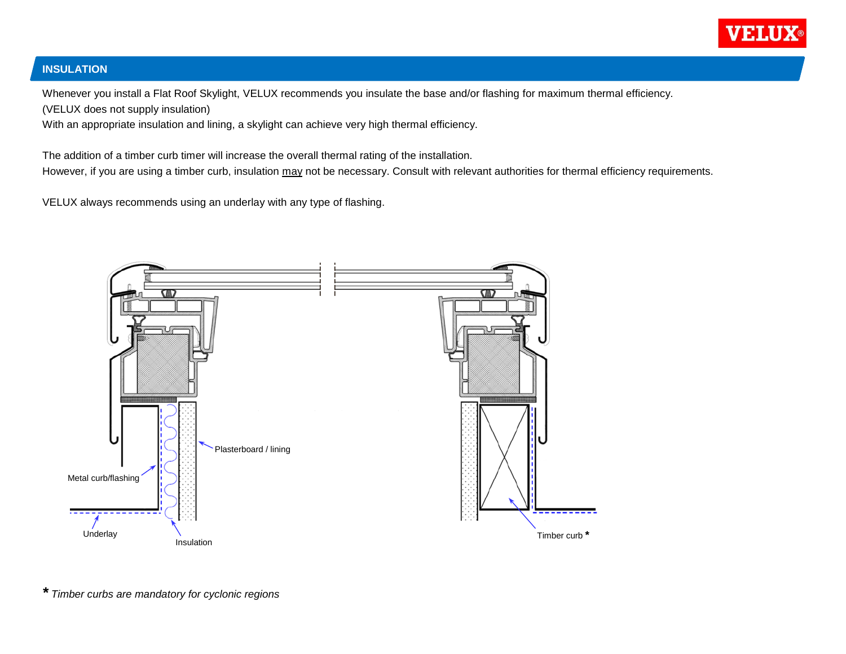

# **INSULATION**

Whenever you install a Flat Roof Skylight, VELUX recommends you insulate the base and/or flashing for maximum thermal efficiency. (VELUX does not supply insulation)

With an appropriate insulation and lining, a skylight can achieve very high thermal efficiency.

The addition of a timber curb timer will increase the overall thermal rating of the installation. However, if you are using a timber curb, insulation may not be necessary. Consult with relevant authorities for thermal efficiency requirements.

VELUX always recommends using an underlay with any type of flashing.



*\* Timber curbs are mandatory for cyclonic regions*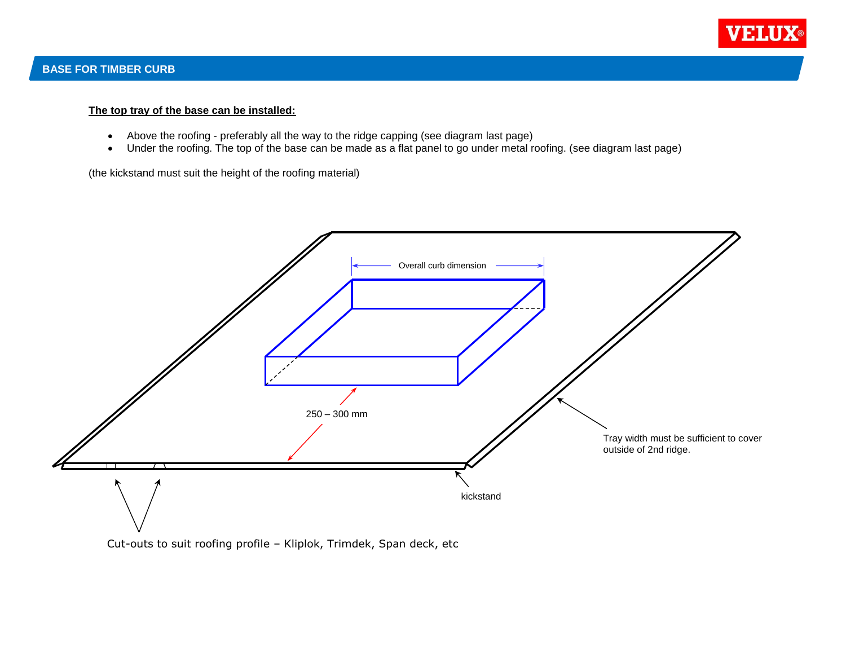

#### **The top tray of the base can be installed:**

- Above the roofing preferably all the way to the ridge capping (see diagram last page)
- Under the roofing. The top of the base can be made as a flat panel to go under metal roofing. (see diagram last page)

(the kickstand must suit the height of the roofing material)



Cut-outs to suit roofing profile – Kliplok, Trimdek, Span deck, etc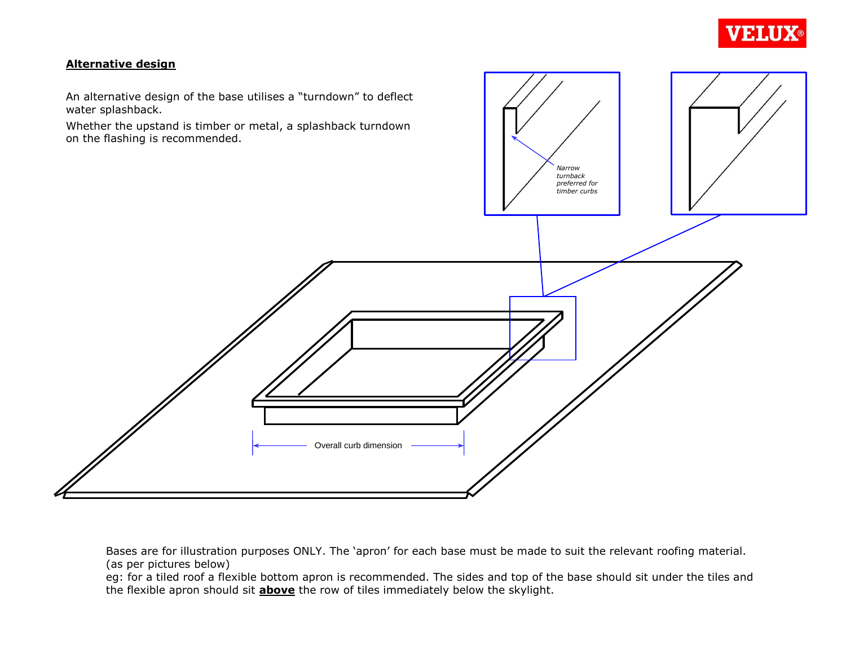

# **Alternative design**

An alternative design of the base utilises a "turndown" to deflect



Bases are for illustration purposes ONLY. The 'apron' for each base must be made to suit the relevant roofing material. (as per pictures below)

eg: for a tiled roof a flexible bottom apron is recommended. The sides and top of the base should sit under the tiles and the flexible apron should sit **above** the row of tiles immediately below the skylight.